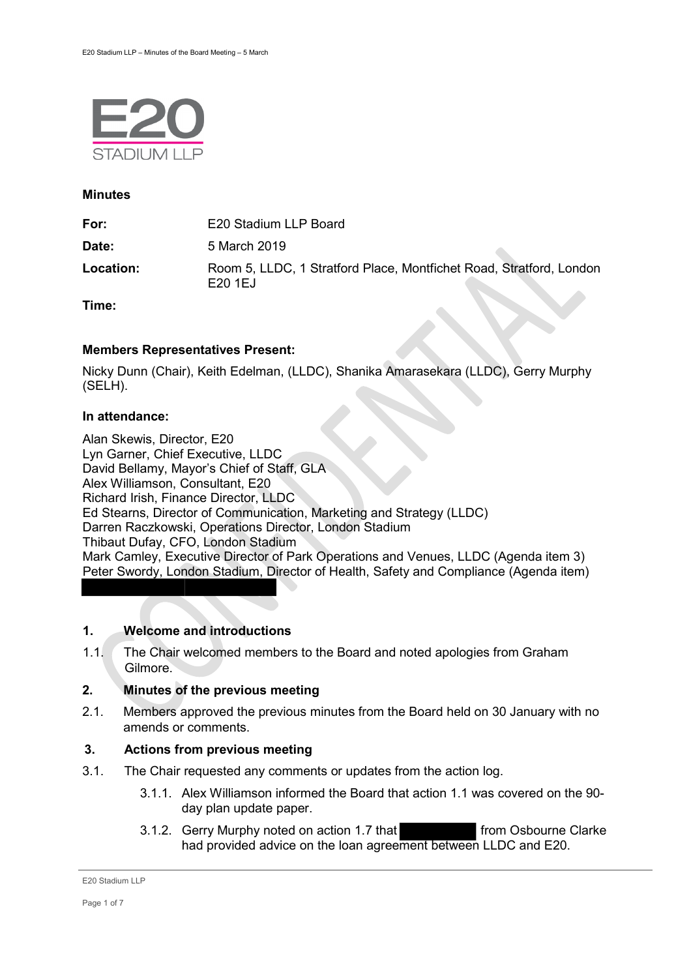

#### **Minutes**

| For:      | E20 Stadium LLP Board                                                         |
|-----------|-------------------------------------------------------------------------------|
| Date:     | 5 March 2019                                                                  |
| Location: | Room 5, LLDC, 1 Stratford Place, Montfichet Road, Stratford, London<br>E201EJ |

**Time:** 

#### **Members Representatives Present:**

Nicky Dunn (Chair), Keith Edelman, (LLDC), Shanika Amarasekara (LLDC), Gerry Murphy (SELH).

#### **In attendance:**

Alan Skewis, Director, E20 Lyn Garner, Chief Executive, LLDC David Bellamy, Mayor's Chief of Staff, GLA Alex Williamson, Consultant, E20 Richard Irish, Finance Director, LLDC Ed Stearns, Director of Communication, Marketing and Strategy (LLDC) Darren Raczkowski, Operations Director, London Stadium Thibaut Dufay, CFO, London Stadium Mark Camley, Executive Director of Park Operations and Venues, LLDC (Agenda item 3) Peter Swordy, London Stadium, Director of Health, Safety and Compliance (Agenda item)

#### **1. Welcome and introductions**

1.1. The Chair welcomed members to the Board and noted apologies from Graham Gilmore.

#### **2. Minutes of the previous meeting**

2.1. Members approved the previous minutes from the Board held on 30 January with no amends or comments.

## **3. Actions from previous meeting**

- 3.1. The Chair requested any comments or updates from the action log.
	- 3.1.1. Alex Williamson informed the Board that action 1.1 was covered on the 90 day plan update paper.
	- 3.1.2. Gerry Murphy noted on action 1.7 that from Osbourne Clarke had provided advice on the loan agreement between LLDC and E20.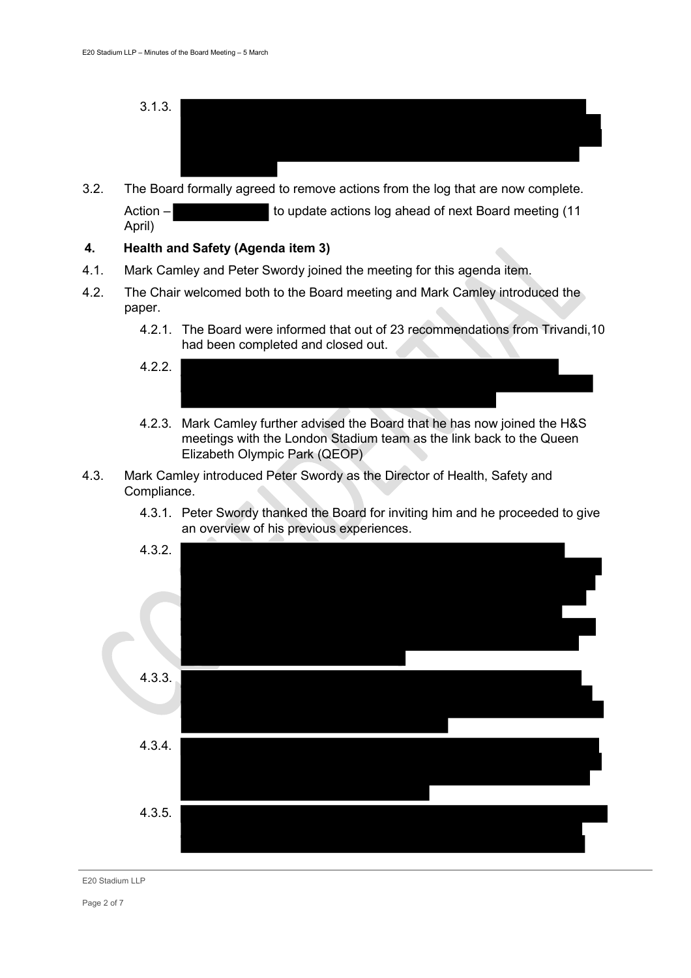- 3.1.3.
- 3.2. The Board formally agreed to remove actions from the log that are now complete. Action – to update actions log ahead of next Board meeting (11 April)

#### **4. Health and Safety (Agenda item 3)**

- 4.1. Mark Camley and Peter Swordy joined the meeting for this agenda item.
- 4.2. The Chair welcomed both to the Board meeting and Mark Camley introduced the paper.
	- 4.2.1. The Board were informed that out of 23 recommendations from Trivandi,10 had been completed and closed out.
	- 4.2.2.
	- 4.2.3. Mark Camley further advised the Board that he has now joined the H&S meetings with the London Stadium team as the link back to the Queen Elizabeth Olympic Park (QEOP)
- 4.3. Mark Camley introduced Peter Swordy as the Director of Health, Safety and Compliance.
	- 4.3.1. Peter Swordy thanked the Board for inviting him and he proceeded to give an overview of his previous experiences.

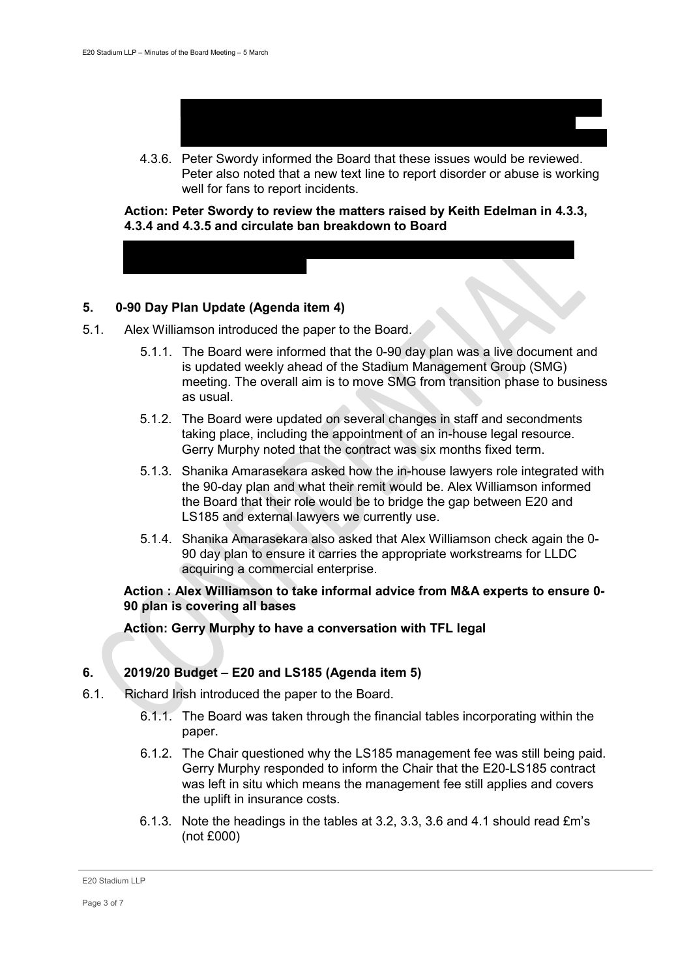

4.3.6. Peter Swordy informed the Board that these issues would be reviewed. Peter also noted that a new text line to report disorder or abuse is working well for fans to report incidents.

**Action: Peter Swordy to review the matters raised by Keith Edelman in 4.3.3, 4.3.4 and 4.3.5 and circulate ban breakdown to Board** 

## **5. 0-90 Day Plan Update (Agenda item 4)**

- 5.1. Alex Williamson introduced the paper to the Board.
	- 5.1.1. The Board were informed that the 0-90 day plan was a live document and is updated weekly ahead of the Stadium Management Group (SMG) meeting. The overall aim is to move SMG from transition phase to business as usual.
	- 5.1.2. The Board were updated on several changes in staff and secondments taking place, including the appointment of an in-house legal resource. Gerry Murphy noted that the contract was six months fixed term.
	- 5.1.3. Shanika Amarasekara asked how the in-house lawyers role integrated with the 90-day plan and what their remit would be. Alex Williamson informed the Board that their role would be to bridge the gap between E20 and LS185 and external lawyers we currently use.
	- 5.1.4. Shanika Amarasekara also asked that Alex Williamson check again the 0- 90 day plan to ensure it carries the appropriate workstreams for LLDC acquiring a commercial enterprise.

#### **Action : Alex Williamson to take informal advice from M&A experts to ensure 0- 90 plan is covering all bases**

**Action: Gerry Murphy to have a conversation with TFL legal** 

# **6. 2019/20 Budget – E20 and LS185 (Agenda item 5)**

- 6.1. Richard Irish introduced the paper to the Board.
	- 6.1.1. The Board was taken through the financial tables incorporating within the paper.
	- 6.1.2. The Chair questioned why the LS185 management fee was still being paid. Gerry Murphy responded to inform the Chair that the E20-LS185 contract was left in situ which means the management fee still applies and covers the uplift in insurance costs.
	- 6.1.3. Note the headings in the tables at 3.2, 3.3, 3.6 and 4.1 should read £m's (not £000)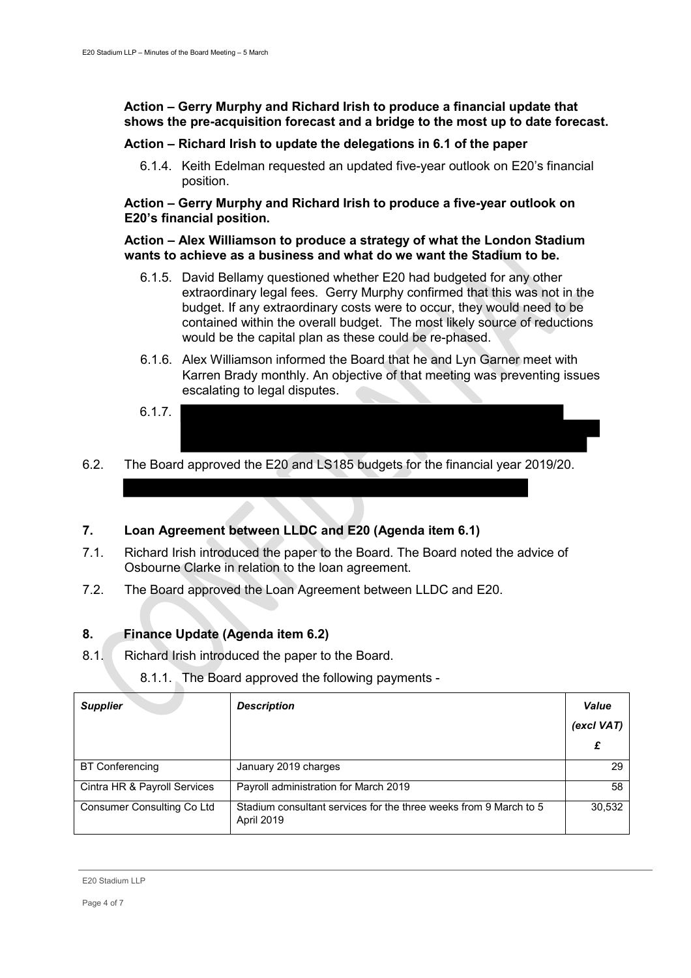## **Action – Gerry Murphy and Richard Irish to produce a financial update that shows the pre-acquisition forecast and a bridge to the most up to date forecast.**

## **Action – Richard Irish to update the delegations in 6.1 of the paper**

6.1.4. Keith Edelman requested an updated five-year outlook on E20's financial position.

## **Action – Gerry Murphy and Richard Irish to produce a five-year outlook on E20's financial position.**

#### **Action – Alex Williamson to produce a strategy of what the London Stadium wants to achieve as a business and what do we want the Stadium to be.**

- 6.1.5. David Bellamy questioned whether E20 had budgeted for any other extraordinary legal fees. Gerry Murphy confirmed that this was not in the budget. If any extraordinary costs were to occur, they would need to be contained within the overall budget. The most likely source of reductions would be the capital plan as these could be re-phased.
- 6.1.6. Alex Williamson informed the Board that he and Lyn Garner meet with Karren Brady monthly. An objective of that meeting was preventing issues escalating to legal disputes.
- 6.1.7.
- 6.2. The Board approved the E20 and LS185 budgets for the financial year 2019/20.

# **7. Loan Agreement between LLDC and E20 (Agenda item 6.1)**

- 7.1. Richard Irish introduced the paper to the Board. The Board noted the advice of Osbourne Clarke in relation to the loan agreement.
- 7.2. The Board approved the Loan Agreement between LLDC and E20.

# **8. Finance Update (Agenda item 6.2)**

8.1. Richard Irish introduced the paper to the Board.

# 8.1.1. The Board approved the following payments -

| <b>Supplier</b>              | <b>Description</b>                                                              | Value<br>(excl VAT) |
|------------------------------|---------------------------------------------------------------------------------|---------------------|
| <b>BT Conferencing</b>       | January 2019 charges                                                            | 29                  |
| Cintra HR & Payroll Services | Payroll administration for March 2019                                           | 58                  |
| Consumer Consulting Co Ltd   | Stadium consultant services for the three weeks from 9 March to 5<br>April 2019 | 30,532              |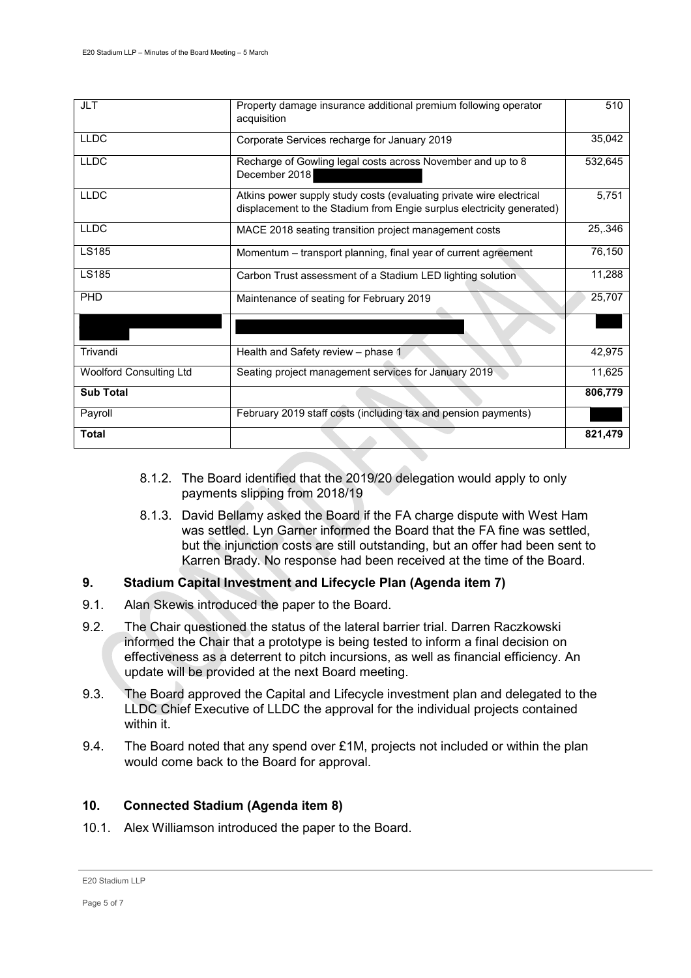| <b>Total</b>                   |                                                                                                                                              | 821,479 |
|--------------------------------|----------------------------------------------------------------------------------------------------------------------------------------------|---------|
| Payroll                        | February 2019 staff costs (including tax and pension payments)                                                                               |         |
| <b>Sub Total</b>               |                                                                                                                                              | 806,779 |
| <b>Woolford Consulting Ltd</b> | Seating project management services for January 2019                                                                                         | 11,625  |
| Trivandi                       | Health and Safety review - phase 1                                                                                                           | 42,975  |
|                                |                                                                                                                                              |         |
| PHD                            | Maintenance of seating for February 2019                                                                                                     | 25,707  |
| LS185                          | Carbon Trust assessment of a Stadium LED lighting solution                                                                                   | 11,288  |
| <b>LS185</b>                   | Momentum – transport planning, final year of current agreement                                                                               | 76,150  |
| <b>LLDC</b>                    | MACE 2018 seating transition project management costs                                                                                        | 25,.346 |
| <b>LLDC</b>                    | Atkins power supply study costs (evaluating private wire electrical<br>displacement to the Stadium from Engie surplus electricity generated) | 5,751   |
| <b>LLDC</b>                    | Recharge of Gowling legal costs across November and up to 8<br>December 2018                                                                 | 532,645 |
| <b>LLDC</b>                    | Corporate Services recharge for January 2019                                                                                                 | 35,042  |
| <b>JLT</b>                     | Property damage insurance additional premium following operator<br>acquisition                                                               | 510     |

- 8.1.2. The Board identified that the 2019/20 delegation would apply to only payments slipping from 2018/19
- 8.1.3. David Bellamy asked the Board if the FA charge dispute with West Ham was settled. Lyn Garner informed the Board that the FA fine was settled, but the injunction costs are still outstanding, but an offer had been sent to Karren Brady. No response had been received at the time of the Board.

# **9. Stadium Capital Investment and Lifecycle Plan (Agenda item 7)**

- 9.1. Alan Skewis introduced the paper to the Board.
- 9.2. The Chair questioned the status of the lateral barrier trial. Darren Raczkowski informed the Chair that a prototype is being tested to inform a final decision on effectiveness as a deterrent to pitch incursions, as well as financial efficiency. An update will be provided at the next Board meeting.
- 9.3. The Board approved the Capital and Lifecycle investment plan and delegated to the LLDC Chief Executive of LLDC the approval for the individual projects contained within it.
- 9.4. The Board noted that any spend over  $£1M$ , projects not included or within the plan would come back to the Board for approval.

# **10. Connected Stadium (Agenda item 8)**

10.1. Alex Williamson introduced the paper to the Board.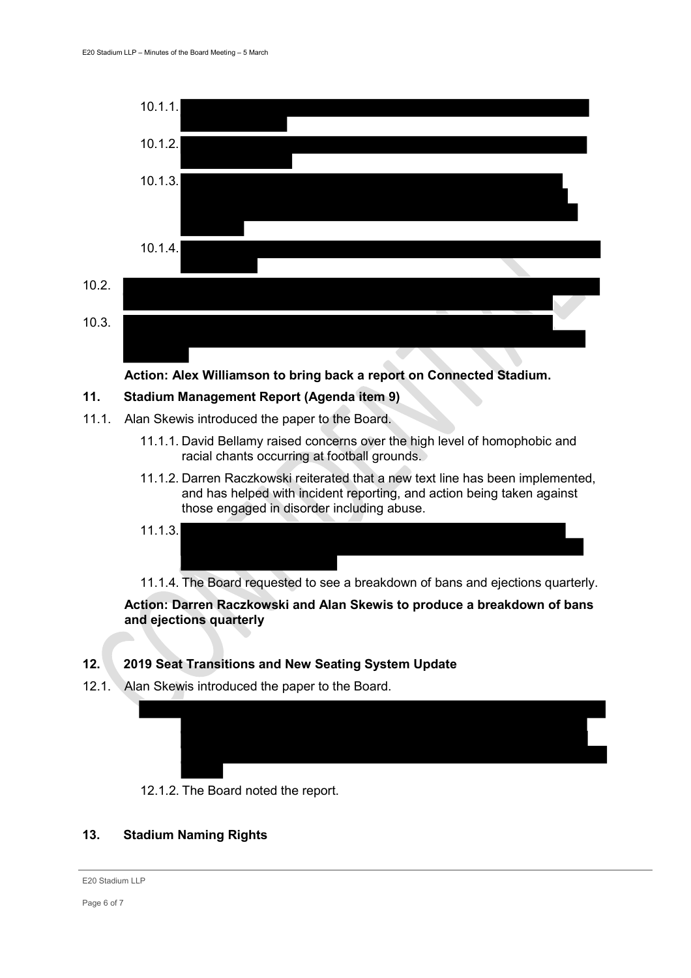

**Action: Alex Williamson to bring back a report on Connected Stadium.** 

#### **11. Stadium Management Report (Agenda item 9)**

- 11.1. Alan Skewis introduced the paper to the Board.
	- 11.1.1. David Bellamy raised concerns over the high level of homophobic and racial chants occurring at football grounds.
	- 11.1.2. Darren Raczkowski reiterated that a new text line has been implemented, and has helped with incident reporting, and action being taken against those engaged in disorder including abuse.

$$
11.1.3.
$$

11.1.4. The Board requested to see a breakdown of bans and ejections quarterly.

**Action: Darren Raczkowski and Alan Skewis to produce a breakdown of bans and ejections quarterly**

#### **12. 2019 Seat Transitions and New Seating System Update**

12.1. Alan Skewis introduced the paper to the Board.





## **13. Stadium Naming Rights**